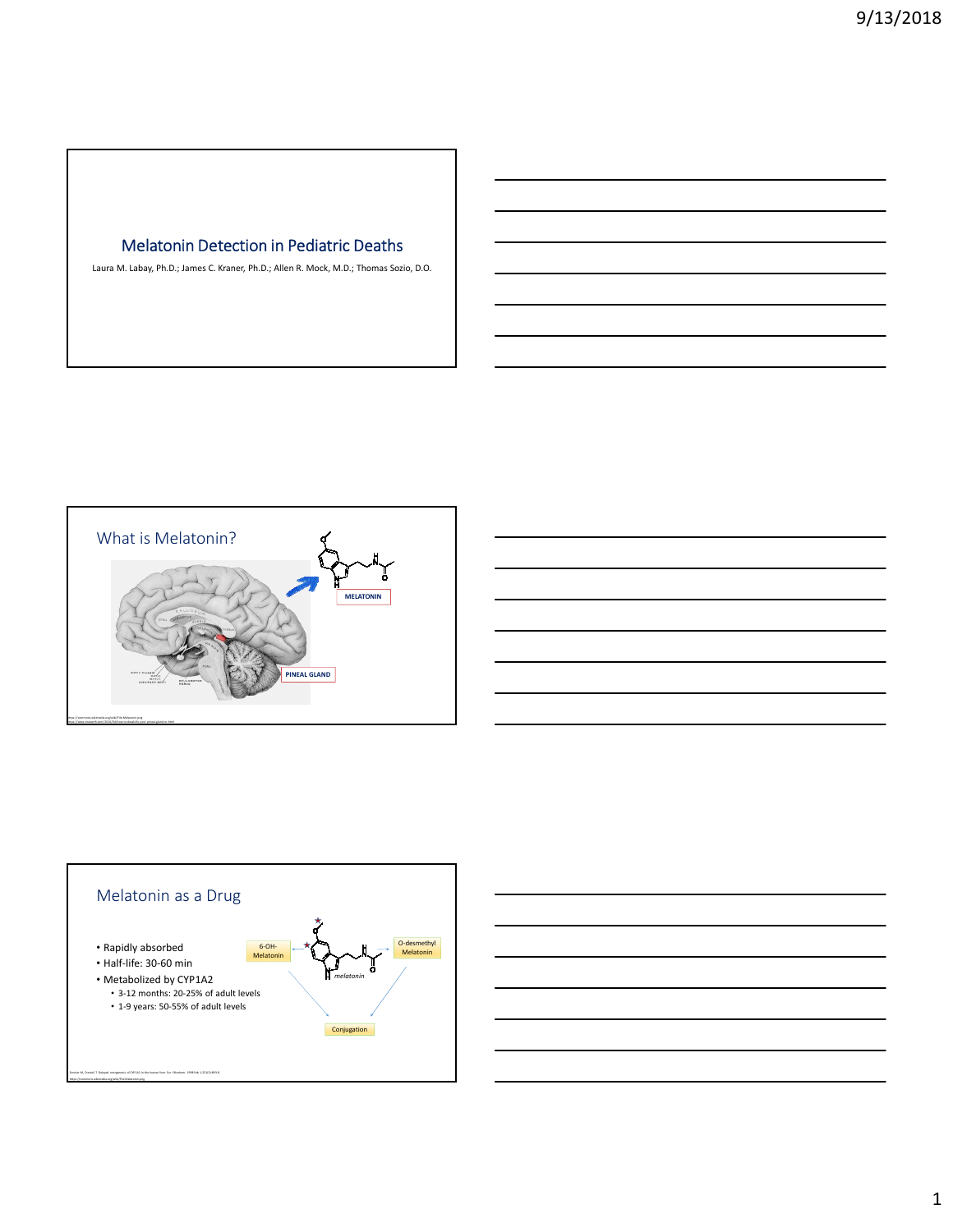### Melatonin Detection in Pediatric Deaths

Laura M. Labay, Ph.D.; James C. Kraner, Ph.D.; Allen R. Mock, M.D.; Thomas Sozio, D.O.





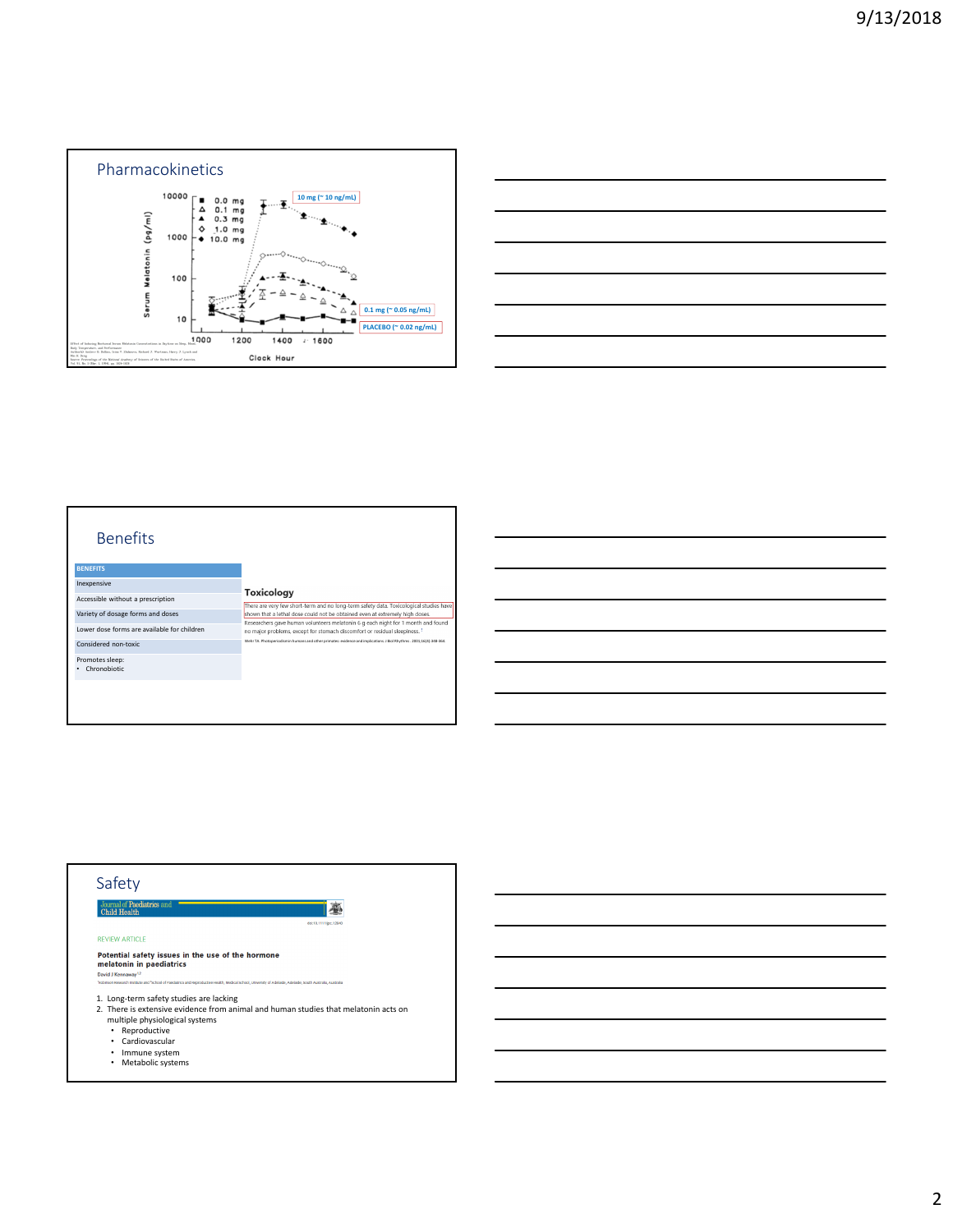

| _______ |
|---------|
|         |
|         |



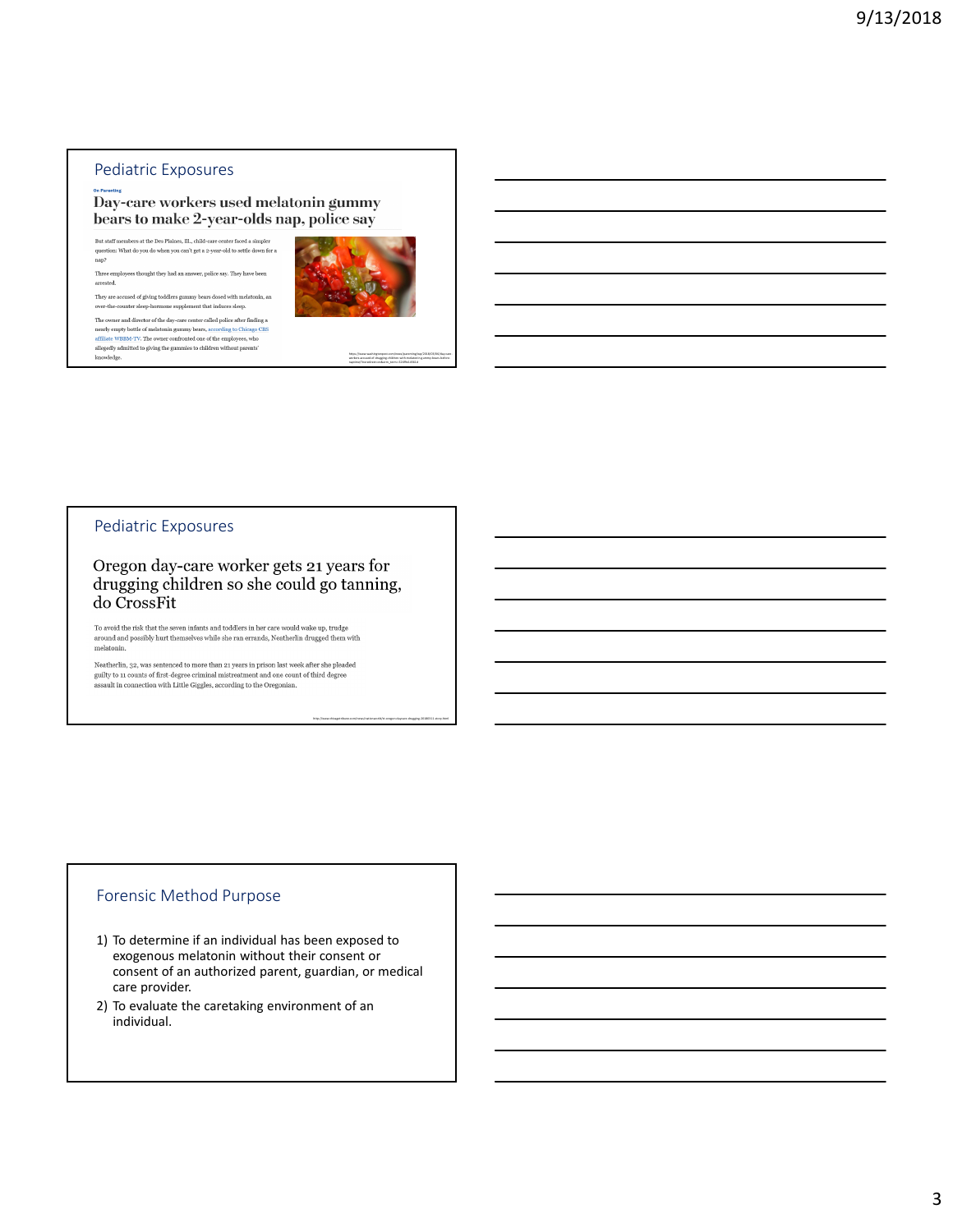#### Pediatric Exposures

#### Day-care workers used melatonin gummy bears to make 2-year-olds nap, police say

 $\label{thm:main}$  But staff members at the Des Plaines, Ill., child-care center faced a simpler But staff members at the Des Plaines, Ill., child-care center faced a simpler question: What do you do when you can't get a 2-year-old to settle down for a nap?

Three employees thought they had an answer, police say. They have been arrested.

They are accused of giving toddlers gummy bears dosed with melatonin, an  $% \mathcal{N}$ over-the-counter sleep-hormone supplement that induces sleep.

The owner and director of the day-care center called police after finding a nearly empty bottle of melatonin gummy bears, according to Chicago CBS affiliate WBBM-TV. The owner confronted one of the employees, who allegedly admitted to giving the gummies to children without parents' knowledge.  $\,$ 



https://www.washingtonpost.com/news/parenting/wp/2018/03/06/day-careworkers-accused-of-drugging-children-with-melatonin-gummy-bears-beforenaptime/?noredirect=on&utm\_term=.526f9e14561d

http://www.chicagotribune.com/news/nationworld/ct-oregon-daycare-drugging-20180311-story.html

#### Pediatric Exposures

Oregon day-care worker gets 21 years for drugging children so she could go tanning, do CrossFit

To avoid the risk that the seven infants and toddlers in her care would wake up, trudge around and possibly hurt themselves while she ran errands, Neatherlin drugged them with melatonin.

 $\label{lem:main}$  Neatherlin, 32, was sentenced to more than 21 years in prison last week after she pleaded<br>guilty to 11 counts of first-degree criminal mistreatment and one count of third degree<br>assault in connection with Little

#### Forensic Method Purpose

- 1) To determine if an individual has been exposed to exogenous melatonin without their consent or consent of an authorized parent, guardian, or medical care provider.
- 2) To evaluate the caretaking environment of an individual.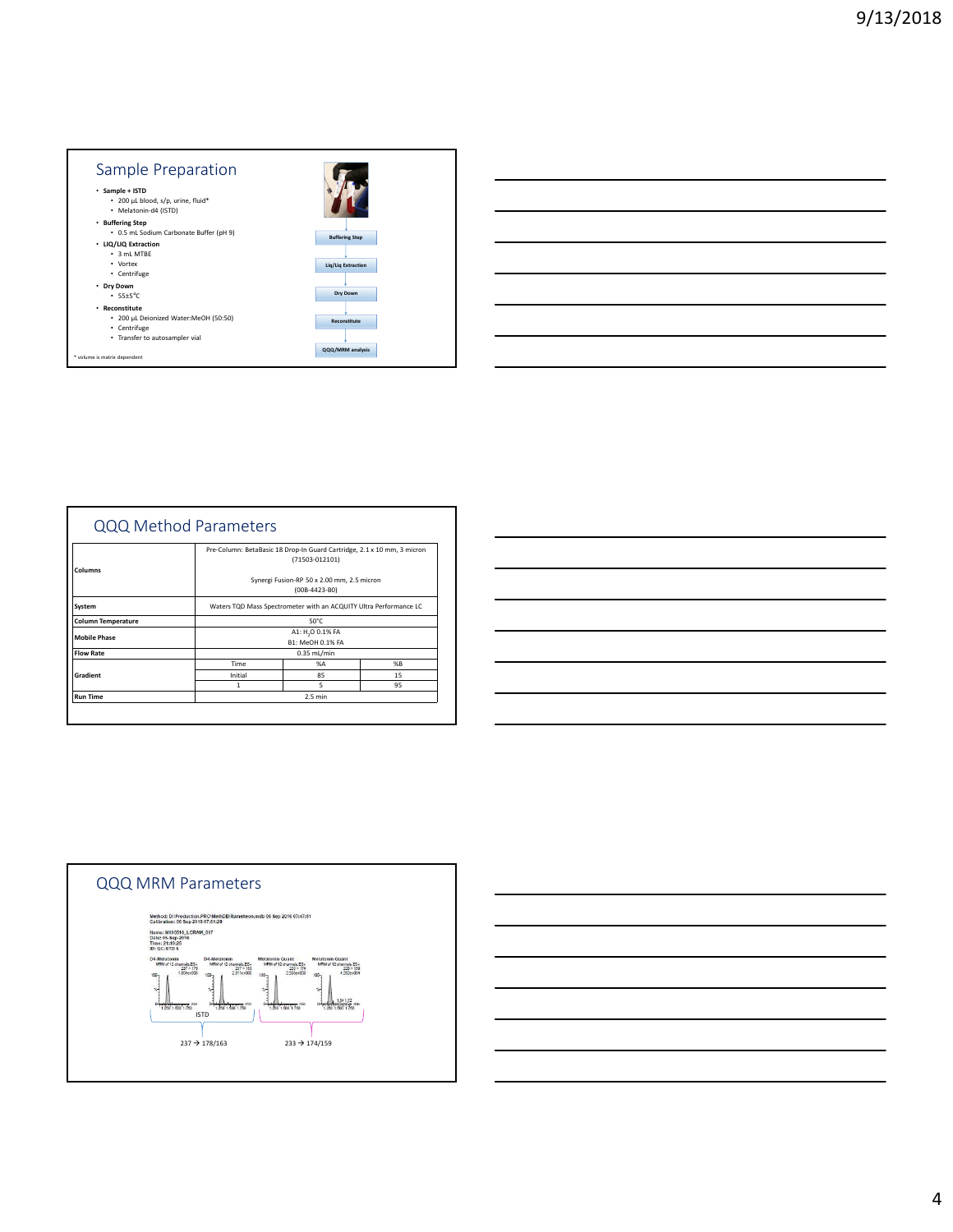

|                           | QQQ Method Parameters |                                                                                           |    |  |
|---------------------------|-----------------------|-------------------------------------------------------------------------------------------|----|--|
| Columns                   |                       | Pre-Column: BetaBasic 18 Drop-In Guard Cartridge, 2.1 x 10 mm, 3 micron<br>(71503-012101) |    |  |
|                           |                       | Synergi Fusion-RP 50 x 2.00 mm, 2.5 micron<br>(00B-4423-B0)                               |    |  |
| System                    |                       | Waters TQD Mass Spectrometer with an ACQUITY Ultra Performance LC                         |    |  |
| <b>Column Temperature</b> |                       | 50°C                                                                                      |    |  |
| <b>Mobile Phase</b>       |                       | A1: H <sub>2</sub> O 0.1% FA<br>B1: MeOH 0.1% FA                                          |    |  |
| <b>Flow Rate</b>          |                       | 0.35 mL/min                                                                               |    |  |
|                           | Time                  | %A                                                                                        | %R |  |
| Gradient                  | Initial               | 85                                                                                        | 15 |  |
|                           | 1                     | 5                                                                                         | 95 |  |
| <b>Run Time</b>           |                       | $2.5$ min                                                                                 |    |  |

| <u> 1989 - Johann Barn, mars ann an t-Amhainn an t-Amhainn an t-Amhainn an t-Amhainn an t-Amhainn an t-Amhainn an</u>  |  | $\overline{\phantom{a}}$ |
|------------------------------------------------------------------------------------------------------------------------|--|--------------------------|
|                                                                                                                        |  |                          |
| <u> 1999 - Jan Barbara de Santo de Santo de Santo de Santo de Santo de Santo de Santo de Santo de Santo de Santo</u>   |  |                          |
|                                                                                                                        |  |                          |
|                                                                                                                        |  |                          |
|                                                                                                                        |  |                          |
| <u> 1989 - Johann Stein, marwolaethau a bhann an t-Alban ann an t-Alban an t-Alban ann an t-Alban an t-Alban ann a</u> |  |                          |
|                                                                                                                        |  |                          |
| <u> 1989 - Johann Stoff, amerikansk politiker (* 1908)</u>                                                             |  |                          |
|                                                                                                                        |  |                          |
| <u> 2000 - Andrea Andrewski, matematik a strong metallong angleški kontrol (d. 1989)</u>                               |  |                          |
|                                                                                                                        |  |                          |
| <u> 1989 - Johann Stoff, amerikansk politiker (d. 1989)</u>                                                            |  |                          |
|                                                                                                                        |  |                          |



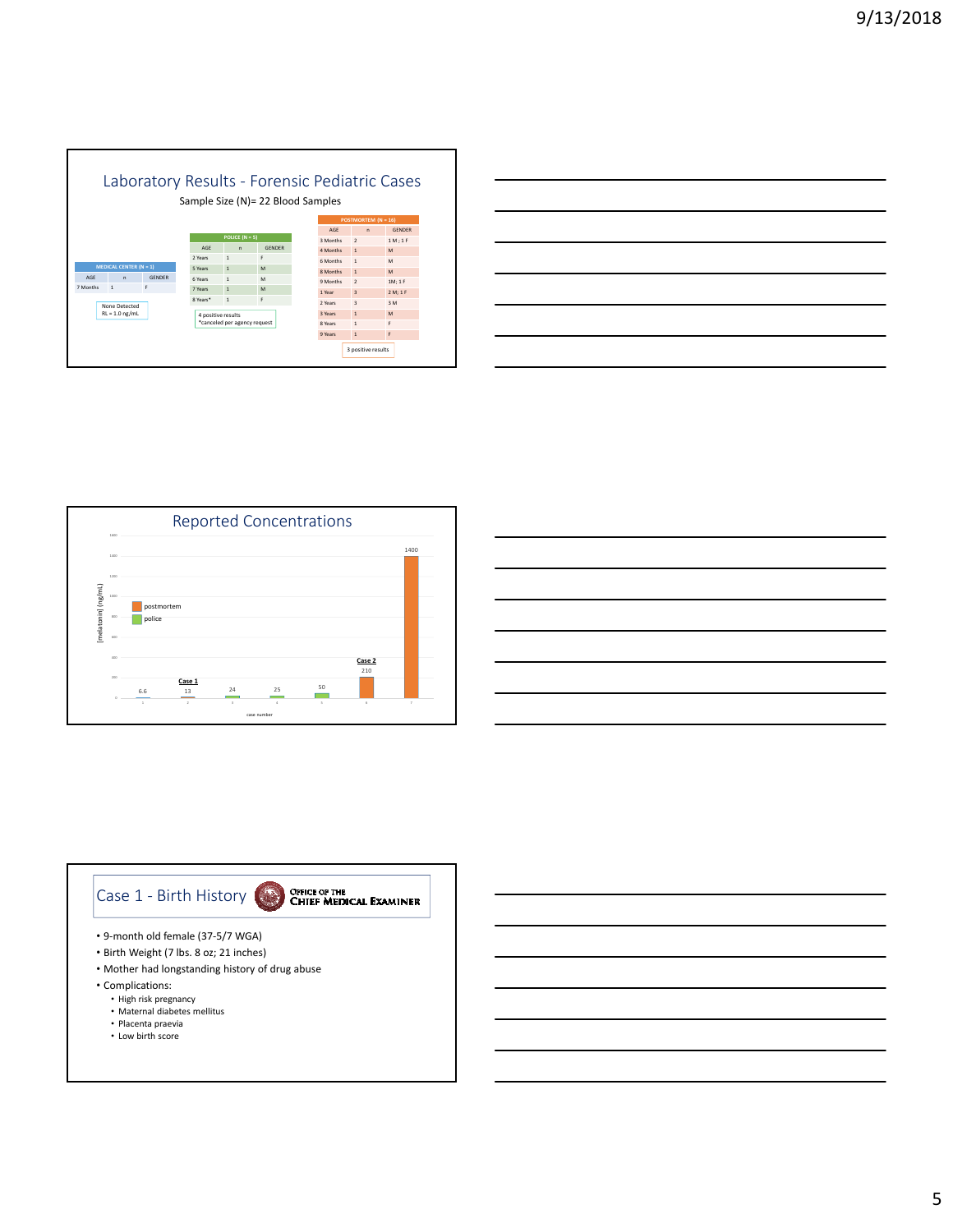

| <u> 1989 - Johann Barn, mars ann an t-Amhainn an t-Amhainn an t-Amhainn an t-Amhainn an t-Amhainn an t-Amhainn an </u> |  |                          |
|------------------------------------------------------------------------------------------------------------------------|--|--------------------------|
| <u> 1989 - Johann Harry Harry Harry Harry Harry Harry Harry Harry Harry Harry Harry Harry Harry Harry Harry Harry</u>  |  |                          |
| <u> 1989 - Johann Barn, amerikan berkemanan berkemana di banyak di banyak di banyak di banyak di banyak di banyak</u>  |  |                          |
| <u> 1989 - Johann Barn, mars ann an t-Amhainn an t-Amhainn an t-Amhainn an t-Amhainn an t-Amhainn an t-Amhainn an</u>  |  |                          |
| <u> 1989 - Johann Barn, mars and de Branch Barn, mars and de Branch Barn, mars and de Branch Barn, mars and de Br</u>  |  |                          |
| <u> 1989 - Johann Barn, amerikan bernama di sebagai bernama di sebagai bernama di sebagai bernama di sebagai ber</u>   |  | $\overline{\phantom{a}}$ |
|                                                                                                                        |  |                          |







- Mother had longstanding history of drug abuse
- Complications:
	- High risk pregnancy
	- Maternal diabetes mellitus
	- Placenta praevia
	- Low birth score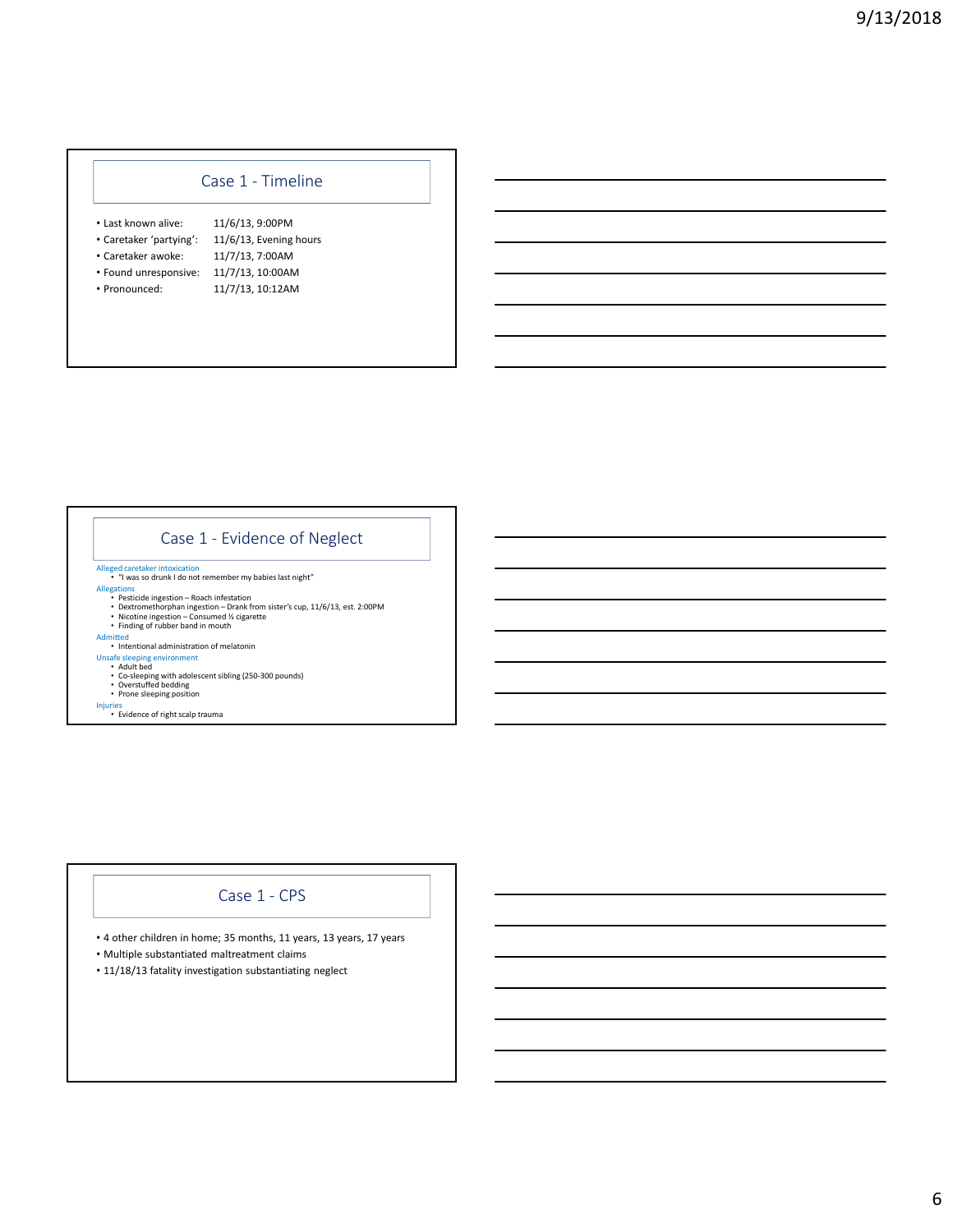### Case 1 - Timeline

- Last known alive: 11/6/13, 9:00PM
- Caretaker 'partying': 11/6/13, Evening hours
- Caretaker awoke: 11/7/13, 7:00AM
- Found unresponsive: 11/7/13, 10:00AM
- 
- 
- 
- 
- 
- 
- Pronounced: 11/7/13, 10:12AM

## Case 1 - Evidence of Neglect

- Alleged caretaker intoxication "I was so drunk I do not remember my babies last night"
- 
- Allegations<br>
Pesticide ingestion Roach infestation<br>
Dextromethorphan ingestion Drank from sister's cup, 11/6/13, est. 2:00PM<br>
Nicotine ingestion Consumed ½ cigarette<br>
Finding of rubber band in mouth<br>
Intent
	-
	-
	-
	-
- Unsafe sleeping environment<br>• Adult bed<br>• Co-sleeping with adolescent sibling (250-300 pounds)<br>• Overstuffed bedding<br>• Prone sleeping position
	-
	-
- Injuries Evidence of right scalp trauma

#### Case 1 - CPS

- 4 other children in home; 35 months, 11 years, 13 years, 17 years
- Multiple substantiated maltreatment claims
- 11/18/13 fatality investigation substantiating neglect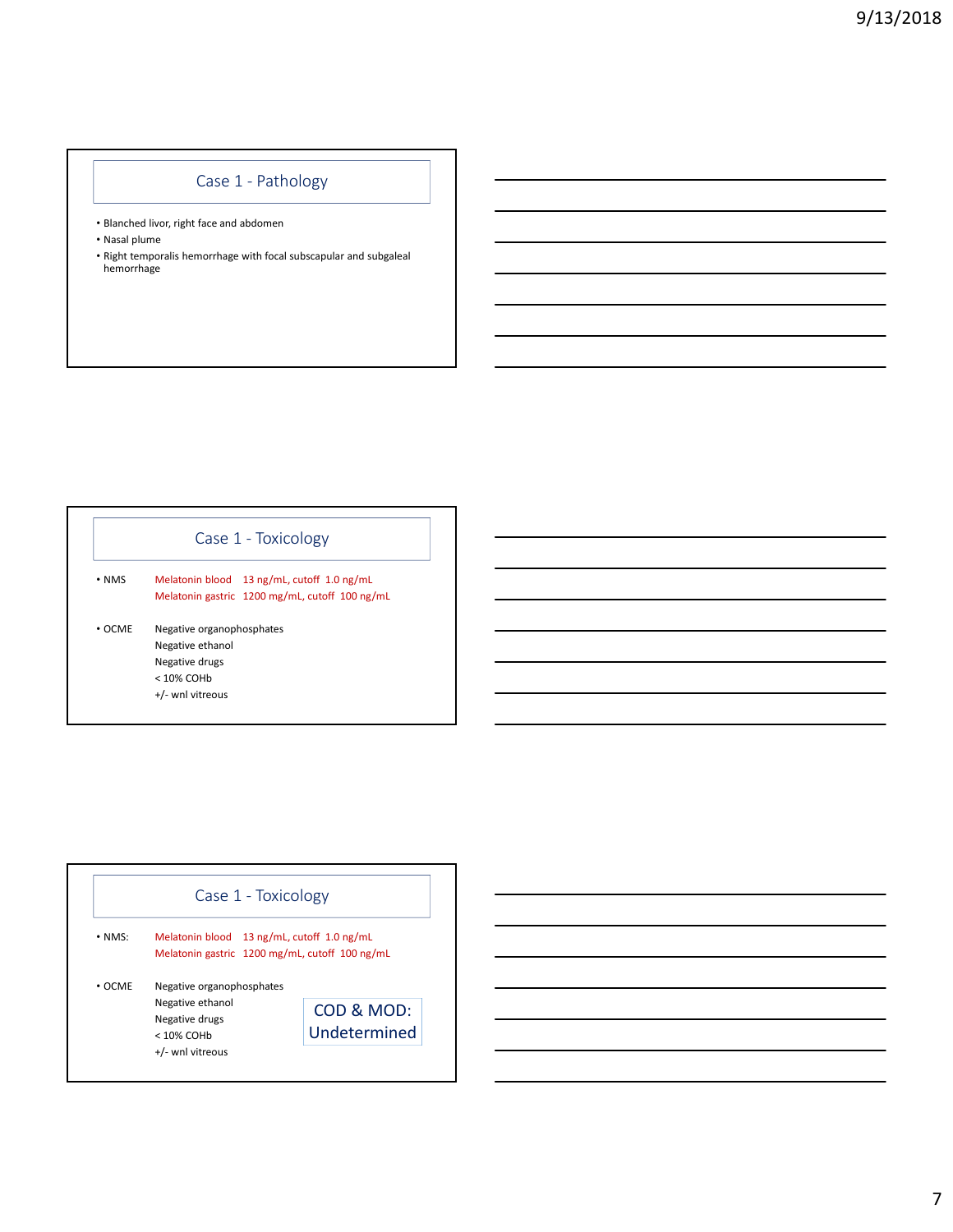# Case 1 - Pathology

- Blanched livor, right face and abdomen
- Nasal plume
- Right temporalis hemorrhage with focal subscapular and subgaleal hemorrhage

| Case 1 - Toxicology |
|---------------------|
|                     |

• NMS Melatonin blood 13 ng/mL, cutoff 1.0 ng/mL Melatonin gastric 1200 mg/mL, cutoff 100 ng/mL

• OCME Negative organophosphates Negative ethanol Negative drugs < 10% COHb

+/- wnl vitreous

|              | Case 1 - Toxicology                            |              |
|--------------|------------------------------------------------|--------------|
| $\cdot$ NMS: | Melatonin blood 13 ng/mL, cutoff 1.0 ng/mL     |              |
|              | Melatonin gastric 1200 mg/mL, cutoff 100 ng/mL |              |
|              |                                                |              |
|              | Negative organophosphates                      |              |
| $\cdot$ OCME | Negative ethanol                               | COD & MOD:   |
|              | Negative drugs<br>$< 10\%$ COHb                | Undetermined |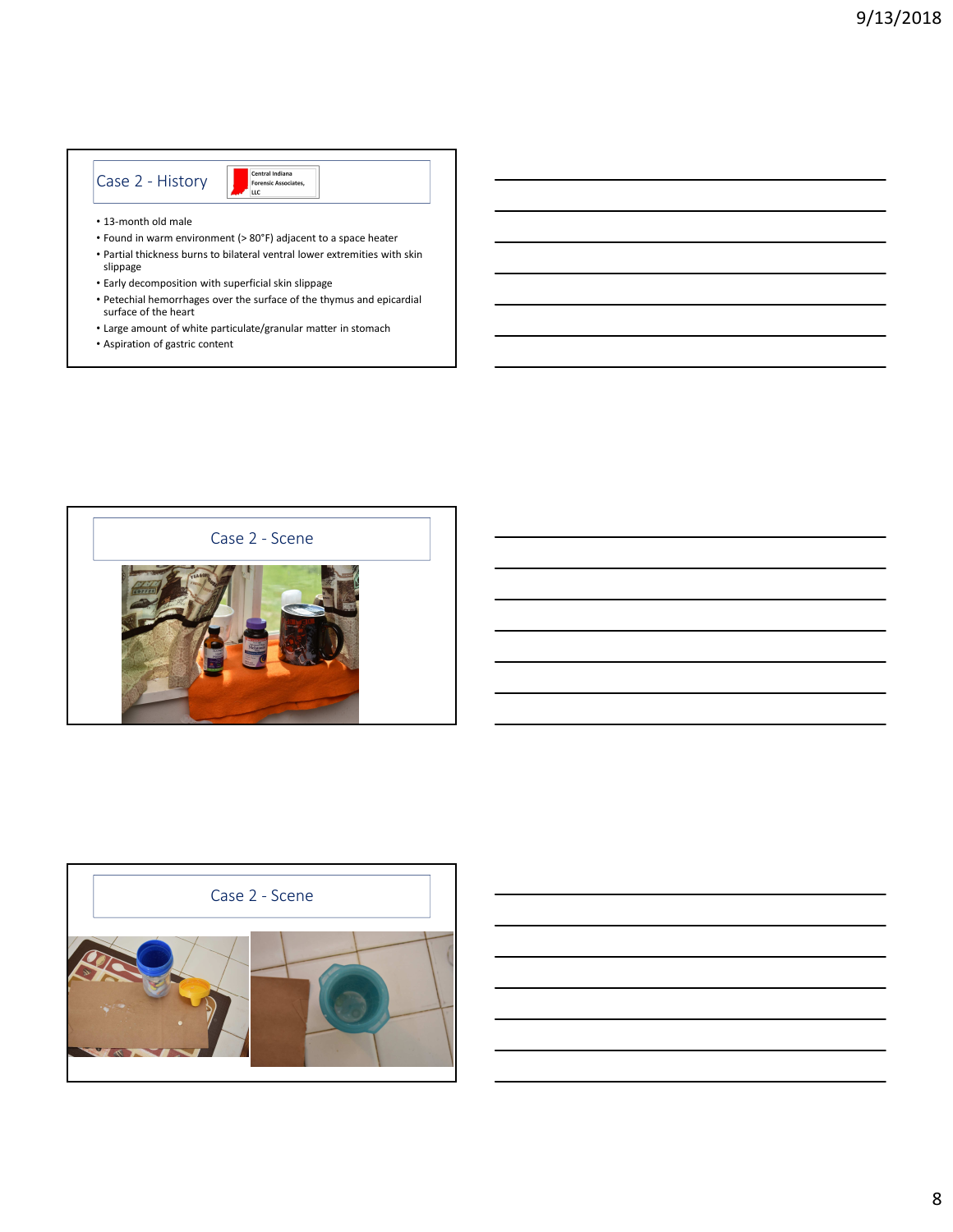### Case 2 - History

Central Indiana<br>Forensic Associates,<br>LLC

- 13-month old male
- Found in warm environment (> 80°F) adjacent to a space heater
- Partial thickness burns to bilateral ventral lower extremities with skin slippage
- Early decomposition with superficial skin slippage
- Petechial hemorrhages over the surface of the thymus and epicardial surface of the heart
- Large amount of white particulate/granular matter in stomach
- Aspiration of gastric content



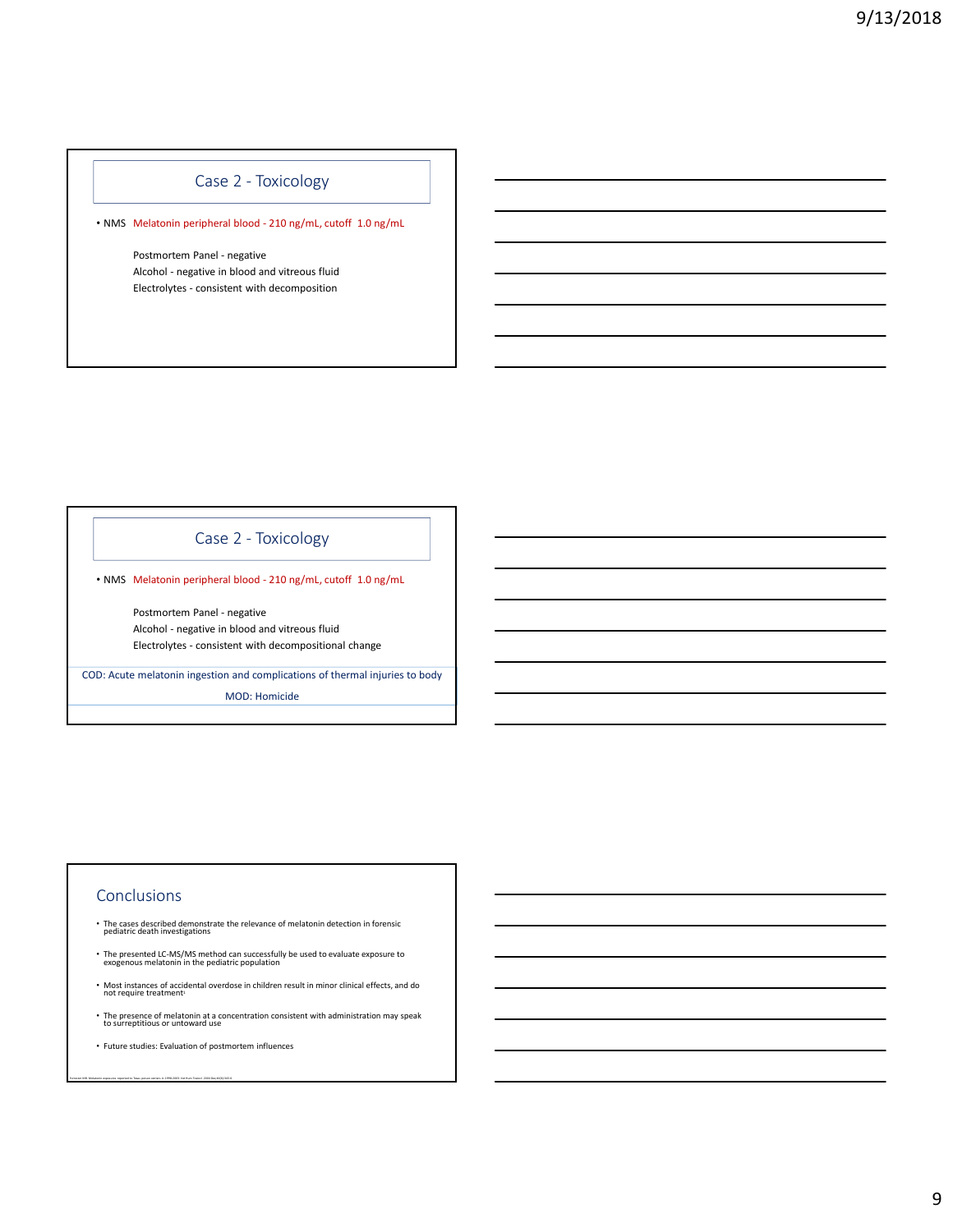### Case 2 - Toxicology

• NMS Melatonin peripheral blood - 210 ng/mL, cutoff 1.0 ng/mL

Postmortem Panel - negative Alcohol - negative in blood and vitreous fluid Electrolytes - consistent with decomposition

### Case 2 - Toxicology

• NMS Melatonin peripheral blood - 210 ng/mL, cutoff 1.0 ng/mL

Postmortem Panel - negative Alcohol - negative in blood and vitreous fluid Electrolytes - consistent with decompositional change

COD: Acute melatonin ingestion and complications of thermal injuries to body MOD: Homicide

#### Conclusions

Forrester MB. Melatonin exposures reported to Texas poison centers in 1998-2003. Vet Hum Toxicol. 2004 Dec;46(6):345-6.

- The cases described demonstrate the relevance of melatonin detection in forensic pediatric death investigations
- The presented LC-MS/MS method can successfully be used to evaluate exposure to exogenous melatonin in the pediatric population
- Most instances of accidental overdose in children result in minor clinical effects, and do not require treatment
- The presence of melatonin at a concentration consistent with administration may speak to surreptitious or untoward use
- Future studies: Evaluation of postmortem influences